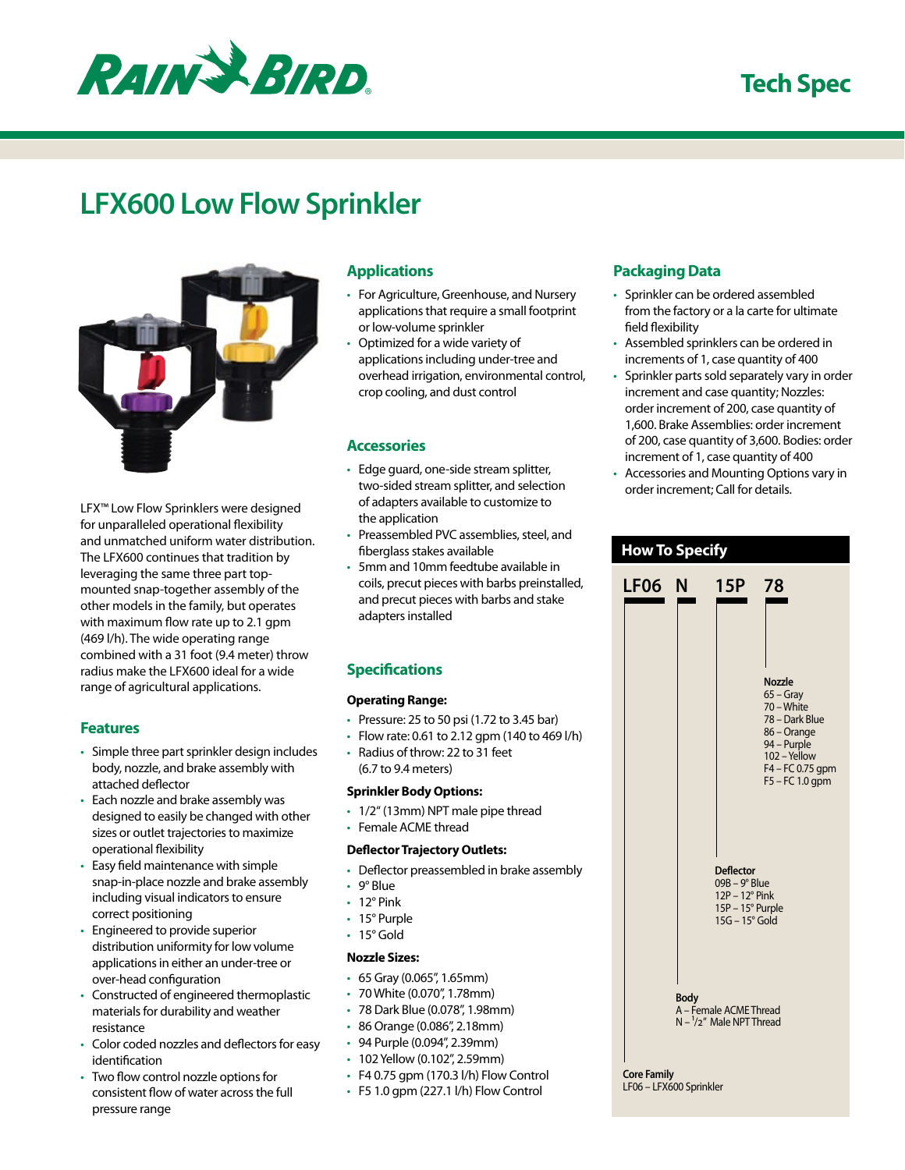

### **Tech Spec**

# **LFX600 Low Flow Sprinkler**



LFX™ Low Flow Sprinklers were designed for unparalleled operational flexibility and unmatched uniform water distribution. The LFX600 continues that tradition by leveraging the same three part topmounted snap-together assembly of the other models in the family, but operates with maximum flow rate up to 2.1 gpm (469 l/h). The wide operating range combined with a 31 foot (9.4 meter) throw radius make the LFX600 ideal for a wide range of agricultural applications.

#### **Features**

- Simple three part sprinkler design includes body, nozzle, and brake assembly with attached deflector
- Each nozzle and brake assembly was designed to easily be changed with other sizes or outlet trajectories to maximize operational flexibility
- Easy field maintenance with simple snap-in-place nozzle and brake assembly including visual indicators to ensure correct positioning
- Engineered to provide superior distribution uniformity for low volume applications in either an under-tree or over-head configuration
- Constructed of engineered thermoplastic materials for durability and weather resistance
- Color coded nozzles and deflectors for easy identification
- Two flow control nozzle options for consistent flow of water across the full pressure range

#### **Applications**

- For Agriculture, Greenhouse, and Nursery applications that require a small footprint or low-volume sprinkler
- Optimized for a wide variety of applications including under-tree and overhead irrigation, environmental control, crop cooling, and dust control

#### **Accessories**

- Edge guard, one-side stream splitter, two-sided stream splitter, and selection of adapters available to customize to the application
- Preassembled PVC assemblies, steel, and fiberglass stakes available
- 5mm and 10mm feedtube available in coils, precut pieces with barbs preinstalled, and precut pieces with barbs and stake adapters installed

#### **Specifications**

#### **Operating Range:**

- Pressure: 25 to 50 psi (1.72 to 3.45 bar)
- Flow rate: 0.61 to 2.12 gpm (140 to 469  $I/h$ )
- Radius of throw: 22 to 31 feet (6.7 to 9.4 meters)

#### **Sprinkler Body Options:**

- 1/2" (13mm) NPT male pipe thread
- Female ACME thread

#### **Deflector Trajectory Outlets:**

- Deflector preassembled in brake assembly
- 9° Blue
- 12° Pink
- 15° Purple
- 15° Gold

#### **Nozzle Sizes:**

- 65 Gray (0.065", 1.65mm)
- 70 White (0.070", 1.78mm)
- 78 Dark Blue (0.078", 1.98mm)
- 86 Orange (0.086", 2.18mm)
- 94 Purple (0.094", 2.39mm)
- 102 Yellow (0.102", 2.59mm)
- F4 0.75 gpm (170.3 l/h) Flow Control
- $\cdot$  F5 1.0 gpm (227.1 l/h) Flow Control

#### **Packaging Data**

- Sprinkler can be ordered assembled from the factory or a la carte for ultimate field flexibility
- Assembled sprinklers can be ordered in increments of 1, case quantity of 400
- Sprinkler parts sold separately vary in order increment and case quantity; Nozzles: order increment of 200, case quantity of 1,600. Brake Assemblies: order increment of 200, case quantity of 3,600. Bodies: order increment of 1, case quantity of 400
- Accessories and Mounting Options vary in order increment; Call for details.

| <b>How To Specify</b>                                           |  |                                                                                           |                                                                                                                                                 |  |  |  |  |  |  |
|-----------------------------------------------------------------|--|-------------------------------------------------------------------------------------------|-------------------------------------------------------------------------------------------------------------------------------------------------|--|--|--|--|--|--|
| <b>LF06 N</b>                                                   |  | 15P                                                                                       | 78                                                                                                                                              |  |  |  |  |  |  |
|                                                                 |  |                                                                                           | <b>Nozzle</b><br>65 – Gray<br>70 – White<br>78 - Dark Blue<br>86 - Orange<br>94 – Purple<br>102 - Yellow<br>F4 - FC 0.75 gpm<br>F5 - FC 1.0 gpm |  |  |  |  |  |  |
|                                                                 |  | <b>Deflector</b><br>09B - 9° Blue<br>12P - 12° Pink<br>15P - 15° Purple<br>15G - 15° Gold |                                                                                                                                                 |  |  |  |  |  |  |
| <b>Body</b><br>A - Female ACME Thread<br>N-1/2" Male NPT Thread |  |                                                                                           |                                                                                                                                                 |  |  |  |  |  |  |
| <b>Core Family</b><br>LF06 - LFX600 Sprinkler                   |  |                                                                                           |                                                                                                                                                 |  |  |  |  |  |  |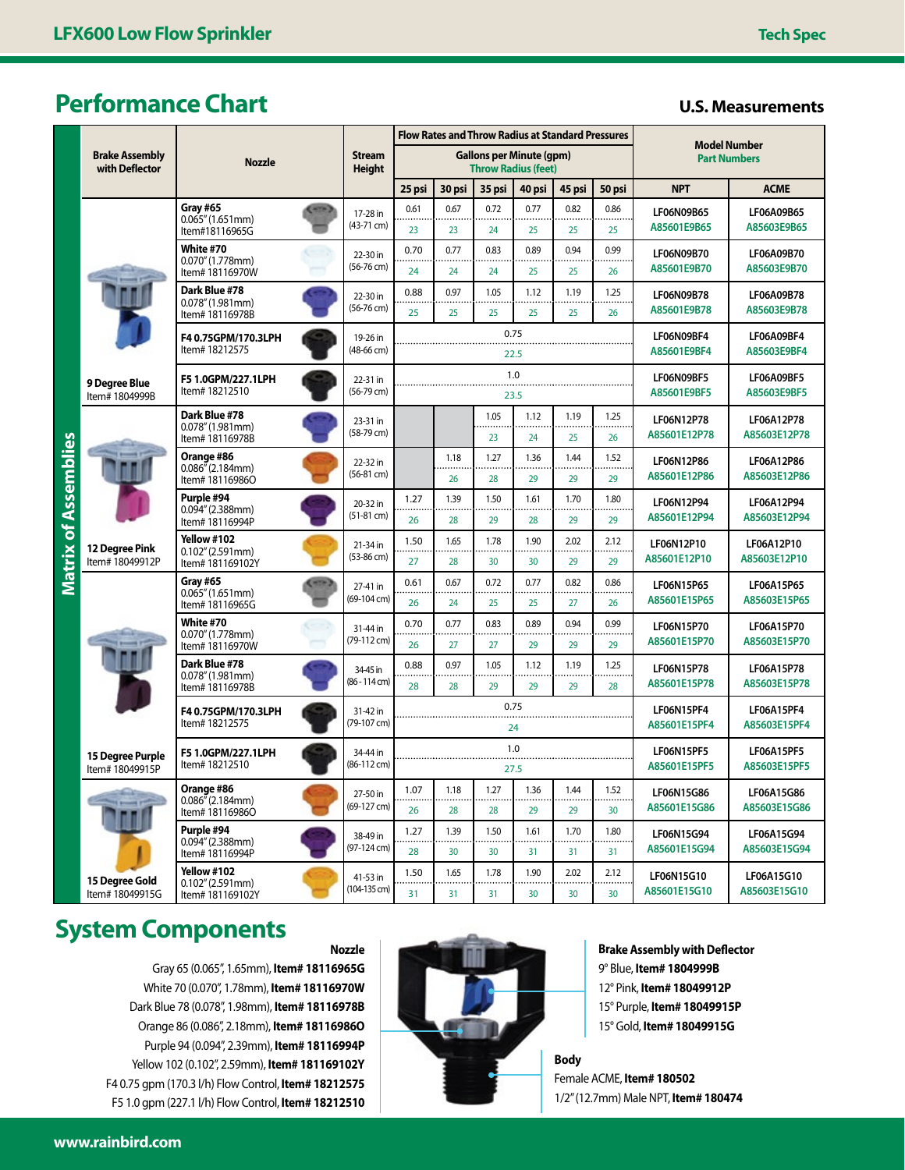### **Performance Chart**

#### **U.S. Measurements**

|                                         |                                            |                                                                                          |  |                                | <b>Flow Rates and Throw Radius at Standard Pressures</b>      |             |            |            |            |                | <b>Model Number</b>               |                            |
|-----------------------------------------|--------------------------------------------|------------------------------------------------------------------------------------------|--|--------------------------------|---------------------------------------------------------------|-------------|------------|------------|------------|----------------|-----------------------------------|----------------------------|
| <b>Brake Assembly</b><br>with Deflector |                                            | <b>Nozzle</b>                                                                            |  | <b>Stream</b><br><b>Height</b> | <b>Gallons per Minute (qpm)</b><br><b>Throw Radius (feet)</b> |             |            |            |            |                | <b>Part Numbers</b>               |                            |
|                                         |                                            |                                                                                          |  |                                | 25 psi                                                        | 30 psi      | 35 psi     | 40 psi     | 45 psi     | 50 psi         | <b>NPT</b>                        | <b>ACME</b>                |
|                                         |                                            | Grav #65<br>0.065''(1.651mm)<br>Item#18116965G                                           |  | 17-28 in<br>(43-71 cm)         | 0.61<br>23                                                    | 0.67<br>23  | 0.72<br>24 | 0.77<br>25 | 0.82<br>25 | 0.86<br>25     | LF06N09B65<br>A85601E9B65         | LF06A09B65<br>A85603E9B65  |
|                                         |                                            | White #70<br>0.070''(1.778mm)<br>Item# 18116970W                                         |  | 22-30 in<br>(56-76 cm)         | 0.70<br>24                                                    | 0.77<br>24  | 0.83<br>24 | 0.89<br>25 | 0.94<br>25 | 0.99<br>26     | LF06N09B70<br>A85601E9B70         | LF06A09B70<br>A85603E9B70  |
|                                         |                                            | Dark Blue #78<br>0.078''(1.981mm)<br>Item# 18116978B                                     |  | 22-30 in<br>(56-76 cm)         | 0.88<br>25                                                    | 0.97<br>25  | 1.05<br>25 | 1.12<br>25 | 1.19<br>25 | 1.25<br>26     | LF06N09B78<br>A85601E9B78         | LF06A09B78<br>A85603E9B78  |
|                                         |                                            | F40.75GPM/170.3LPH<br>Item# 18212575                                                     |  | 19-26 in<br>(48-66 cm)         | 0.75<br>22.5                                                  |             |            |            |            |                | LF06N09BF4<br>A85601E9BF4         | LF06A09BF4<br>A85603E9BF4  |
|                                         | 9 Degree Blue<br>Item# 1804999B            | F5 1.0GPM/227.1LPH<br>Item# 18212510                                                     |  | 22-31 in<br>(56-79 cm)         |                                                               | 1.0<br>23.5 |            |            |            |                | LF06N09BF5<br>A85601E9BF5         | LF06A09BF5<br>A85603E9BF5  |
| Assemblies<br>Matrix of                 |                                            | Dark Blue #78<br>0.078''(1.981mm)<br>Item# 18116978B                                     |  | 23-31 in<br>(58-79 cm)         |                                                               |             | 1.05<br>23 | 1.12<br>24 | 1.19<br>25 | 1.25<br>26     | LF06N12P78<br>A85601E12P78        | LF06A12P78<br>A85603E12P78 |
|                                         |                                            | Orange #86<br>0.086''(2.184mm)<br>Item# 18116986O                                        |  | 22-32 in<br>(56-81 cm)         |                                                               | 1.18<br>26  | 1.27<br>28 | 1.36<br>29 | 1.44<br>29 | 1.52<br>29     | LF06N12P86<br>A85601E12P86        | LF06A12P86<br>A85603E12P86 |
|                                         |                                            | Purple #94<br>0.094''(2.388mm)<br>Item# 18116994P                                        |  | 20-32 in<br>$(51-81$ cm)       | 1.27<br>26                                                    | 1.39<br>28  | 1.50<br>29 | 1.61<br>28 | 1.70<br>29 | 1.80<br>29     | LF06N12P94<br>A85601E12P94        | LF06A12P94<br>A85603E12P94 |
|                                         | <b>12 Dearee Pink</b><br>Item# 18049912P   | Yellow #102<br>0.102''(2.591mm)<br>Item# 181169102Y                                      |  | 21-34 in<br>(53-86 cm)         | 1.50<br>27                                                    | 1.65<br>28  | 1.78<br>30 | 1.90<br>30 | 2.02<br>29 | 2.12<br>29     | LF06N12P10<br>A85601E12P10        | LF06A12P10<br>A85603E12P10 |
|                                         |                                            | Gray #65<br>0.065''(1.651mm)<br>Item# 18116965G                                          |  | 27-41 in<br>(69-104 cm)        | 0.61<br>26                                                    | 0.67<br>24  | 0.72<br>25 | 0.77<br>25 | 0.82<br>27 | 0.86<br>26     | LF06N15P65<br>A85601E15P65        | LF06A15P65<br>A85603E15P65 |
|                                         |                                            | White #70<br>0.070''(1.778mm)<br>Item# 18116970W                                         |  | 31-44 in<br>(79-112 cm)        | 0.70<br>26                                                    | 0.77<br>27  | 0.83<br>27 | 0.89<br>29 | 0.94<br>29 | 0.99<br>29     | LF06N15P70<br>A85601E15P70        | LF06A15P70<br>A85603E15P70 |
|                                         |                                            | Dark Blue #78<br>0.078''(1.981mm)<br>Item# 18116978B                                     |  | 34-45 in<br>(86 - 114 cm)      | 0.88<br>28                                                    | 0.97<br>28  | 1.05<br>29 | 1.12<br>29 | 1.19<br>29 | 1.25<br>28     | LF06N15P78<br>A85601E15P78        | LF06A15P78<br>A85603E15P78 |
|                                         |                                            | F40.75GPM/170.3LPH<br>Item# 18212575                                                     |  | 31-42 in<br>(79-107 cm)        | 0.75<br>24                                                    |             |            |            |            |                | LF06N15PF4<br>A85601E15PF4        | LF06A15PF4<br>A85603E15PF4 |
|                                         | <b>15 Degree Purple</b><br>Item# 18049915P | F5 1.0GPM/227.1LPH<br>Item# 18212510                                                     |  | 34-44 in<br>(86-112 cm)        | 1.0<br>27.5                                                   |             |            |            |            |                | LF06N15PF5<br>A85601E15PF5        | LF06A15PF5<br>A85603E15PF5 |
|                                         |                                            | Orange #86<br>$0.086$ <sup><math>\frac{\pi}{2}</math></sup> (2.184mm)<br>Item# 18116986O |  | 27-50 in<br>(69-127 cm)        | 1.07<br><br>26                                                | 1.18<br>28  | 1.27<br>28 | 1.36<br>29 | 1.44<br>29 | 1.52<br><br>30 | LF06N15G86<br>A85601E15G86        | LF06A15G86<br>A85603E15G86 |
|                                         |                                            | Purple #94<br>0.094''(2.388mm)<br>Item# 18116994P                                        |  | 38-49 in<br>(97-124 cm)        | 1.27<br>28                                                    | 1.39<br>30  | 1.50<br>30 | 1.61<br>31 | 1.70<br>31 | 1.80<br>31     | <b>LF06N15G94</b><br>A85601E15G94 | LF06A15G94<br>A85603E15G94 |
|                                         | 15 Degree Gold<br>Item# 18049915G          | Yellow #102<br>0.102''(2.591mm)<br>Item# 181169102Y                                      |  | 41-53 in<br>$(104-135$ cm $)$  | 1.50<br>31                                                    | 1.65<br>31  | 1.78<br>31 | 1.90<br>30 | 2.02<br>30 | 2.12<br>30     | LF06N15G10<br>A85601E15G10        | LF06A15G10<br>A85603E15G10 |
|                                         |                                            |                                                                                          |  |                                |                                                               |             |            |            |            |                |                                   |                            |

## **System Components**

Gray 65 (0.065", 1.65mm), **Item# 18116965G** White 70 (0.070", 1.78mm), **Item# 18116970W** Dark Blue 78 (0.078", 1.98mm), **Item# 18116978B** Orange 86 (0.086", 2.18mm), **Item# 18116986O** Purple 94 (0.094", 2.39mm), **Item# 18116994P** Yellow 102 (0.102", 2.59mm), **Item# 181169102Y** F4 0.75 gpm (170.3 l/h) Flow Control, **Item# 18212575** F5 1.0 gpm (227.1 l/h) Flow Control, **Item# 18212510**

**Nozzle**



**Brake Assembly with Deflector** 9° Blue, **Item# 1804999B** 12° Pink, **Item# 18049912P** 15° Purple, **Item# 18049915P** 15° Gold, **Item# 18049915G**

Female ACME, **Item# 180502** 1/2" (12.7mm) Male NPT, **Item# 180474**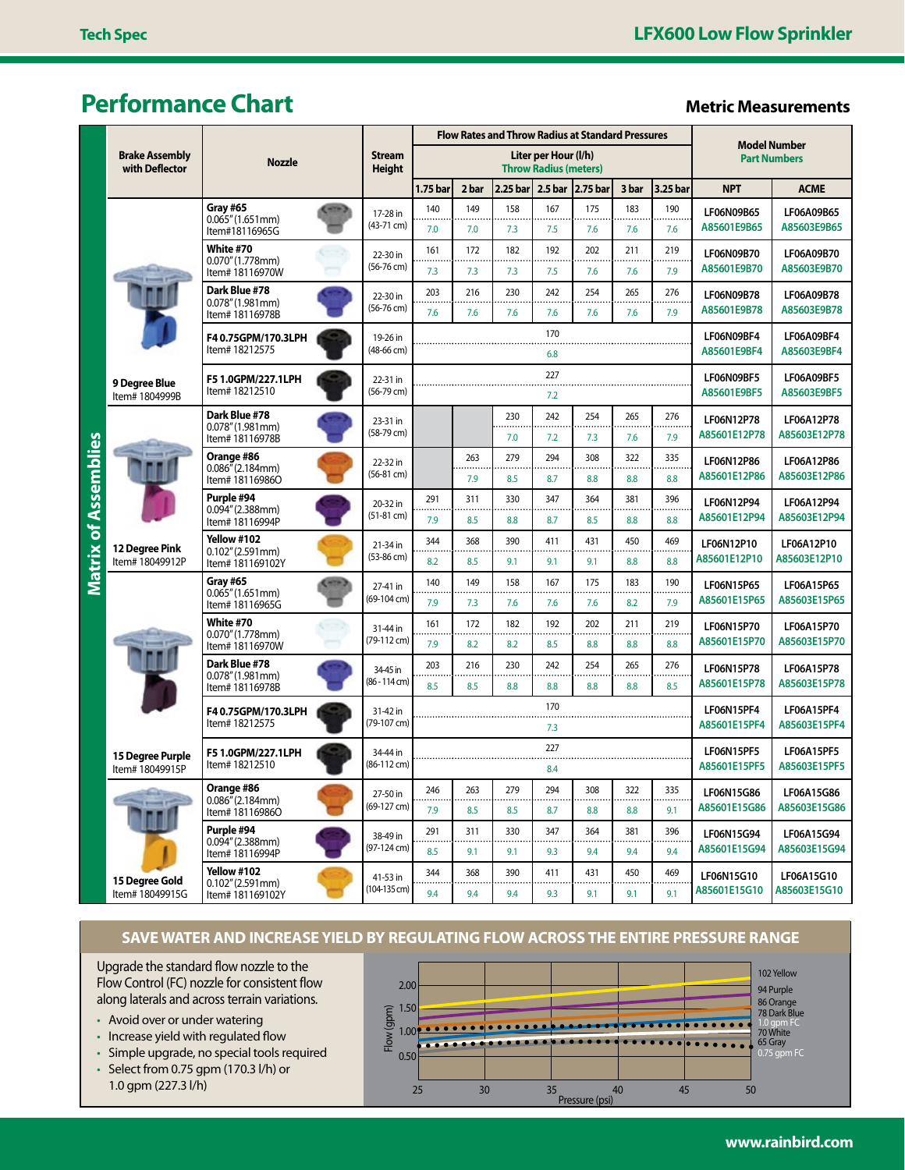## **Performance Chart Metric Measurements**

| <b>Brake Assembly</b><br>with Deflector |                                            | <b>Stream</b><br><b>Nozzle</b><br><b>Height</b>                       |  |                             |                                                      | <b>Flow Rates and Throw Radius at Standard Pressures</b> |            |                    |            |                           |                                            |                            |                                   |
|-----------------------------------------|--------------------------------------------|-----------------------------------------------------------------------|--|-----------------------------|------------------------------------------------------|----------------------------------------------------------|------------|--------------------|------------|---------------------------|--------------------------------------------|----------------------------|-----------------------------------|
|                                         |                                            |                                                                       |  |                             | Liter per Hour (I/h)<br><b>Throw Radius (meters)</b> |                                                          |            |                    |            |                           | <b>Model Number</b><br><b>Part Numbers</b> |                            |                                   |
|                                         |                                            |                                                                       |  |                             | 1.75 bar                                             | 2 bar                                                    | 2.25 bar   | 2.5 <sub>bar</sub> | 2.75 bar   | 3 bar                     | 3.25 bar                                   | <b>NPT</b>                 | <b>ACME</b>                       |
|                                         |                                            | Gray #65<br>0.065" (1.651mm)<br>Item#18116965G                        |  | 17-28 in<br>(43-71 cm)      | 140<br>7.0                                           | 149<br>7.0                                               | 158<br>7.3 | 167<br>7.5         | 175<br>7.6 | 183<br>7.6                | 190<br><br>7.6                             | LF06N09B65<br>A85601E9B65  | LF06A09B65<br>A85603E9B65         |
|                                         |                                            | White #70<br>0.070" (1.778mm)<br>Item# 18116970W                      |  | 22-30 in<br>$(56-76$ cm)    | 161<br>7.3                                           | 172<br>7.3                                               | 182<br>7.3 | 192<br>7.5         | 202<br>7.6 | 211<br>7.6                | 219<br>$\cdots$<br>7.9                     | LF06N09B70<br>A85601E9B70  | LF06A09B70<br>A85603E9B70         |
|                                         |                                            | Dark Blue #78<br>0.078''(1.981mm)<br>Item# 18116978B                  |  | 22-30 in<br>$(56-76$ cm $)$ | 203<br>7.6                                           | 216<br>7.6                                               | 230<br>7.6 | 242<br>7.6         | 254<br>7.6 | 265<br>7.6                | 276<br>7.9                                 | LF06N09B78<br>A85601E9B78  | LF06A09B78<br>A85603E9B78         |
|                                         |                                            | Item# 18212575                                                        |  | 19-26 in<br>$(48-66$ cm $)$ |                                                      | 170<br>6.8                                               |            |                    |            | LF06N09BF4<br>A85601E9BF4 | LF06A09BF4<br>A85603E9BF4                  |                            |                                   |
|                                         | 9 Degree Blue<br>Item# 1804999B            | F5 1.0GPM/227.1LPH<br>Item# 18212510                                  |  | 22-31 in<br>$(56-79$ cm)    |                                                      | 227<br>7.2                                               |            |                    |            |                           | LF06N09BF5<br>A85601E9BF5                  | LF06A09BF5<br>A85603E9BF5  |                                   |
| of Assemblies<br><b>Matrix</b>          |                                            | Dark Blue #78<br>0.078''(1.981mm)<br>ltem# 18116978B                  |  | 23-31 in<br>(58-79 cm)      |                                                      |                                                          | 230<br>7.0 | 242<br>7.2         | 254<br>7.3 | 265<br>7.6                | 276<br>7.9                                 | LF06N12P78<br>A85601E12P78 | LF06A12P78<br>A85603E12P78        |
|                                         |                                            | Orange #86<br>$0.086^{\bar\prime\prime}$ (2.184mm)<br>Item# 18116986O |  | 22-32 in<br>$(56-81$ cm $)$ |                                                      | 263<br>7.9                                               | 279<br>8.5 | 294<br>8.7         | 308<br>8.8 | 322<br>8.8                | 335<br>8.8                                 | LF06N12P86<br>A85601E12P86 | LF06A12P86<br>A85603E12P86        |
|                                         |                                            | Purple #94<br>0.094" (2.388mm)<br>Item# 18116994P                     |  | 20-32 in<br>$(51-81$ cm $)$ | 291<br>7.9                                           | 311<br>8.5                                               | 330<br>8.8 | 347<br>8.7         | 364<br>8.5 | 381<br>8.8                | 396<br>8.8                                 | LF06N12P94<br>A85601E12P94 | LF06A12P94<br>A85603E12P94        |
|                                         | 12 Degree Pink<br>Item# 18049912P          | Yellow #102<br>0.102" (2.591mm)<br>Item# 181169102Y                   |  | 21-34 in<br>(53-86 cm)      | 344<br>8.2                                           | 368<br>8.5                                               | 390<br>9.1 | 411<br>9.1         | 431<br>9.1 | 450<br>8.8                | 469<br>8.8                                 | LF06N12P10<br>A85601E12P10 | <b>LF06A12P10</b><br>A85603E12P10 |
|                                         |                                            | Gray #65<br>0.065" (1.651mm)<br>Item# 18116965G                       |  | 27-41 in<br>(69-104 cm)     | 140<br>7.9                                           | 149<br>7.3                                               | 158<br>7.6 | 167<br>7.6         | 175<br>7.6 | 183<br>8.2                | 190<br>7.9                                 | LF06N15P65<br>A85601E15P65 | LF06A15P65<br>A85603E15P65        |
|                                         |                                            | White #70<br>0.070" (1.778mm)<br>Item# 18116970W                      |  | 31-44 in<br>(79-112 cm)     | 161<br>7.9                                           | 172<br>8.2                                               | 182<br>8.2 | 192<br>8.5         | 202<br>8.8 | 211<br>8.8                | 219<br>8.8                                 | LF06N15P70<br>A85601E15P70 | LF06A15P70<br>A85603E15P70        |
|                                         |                                            | Dark Blue #78<br>0.078" (1.981mm)<br>Item# 18116978B                  |  | 34-45 in<br>(86 - 114 cm)   | 203<br>8.5                                           | 216<br>8.5                                               | 230<br>8.8 | 242<br>8.8         | 254<br>8.8 | 265<br>8.8                | 276<br>8.5                                 | LF06N15P78<br>A85601E15P78 | LF06A15P78<br>A85603E15P78        |
|                                         |                                            | F4 0.75GPM/170.3LPH<br>Item# 18212575                                 |  | 31-42 in<br>(79-107 cm)     | 170<br>7.3                                           |                                                          |            |                    |            |                           | LF06N15PF4<br>A85601E15PF4                 | LF06A15PF4<br>A85603E15PF4 |                                   |
|                                         | <b>15 Degree Purple</b><br>Item# 18049915P | F5 1.0GPM/227.1LPH<br>Item# 18212510                                  |  | 34-44 in<br>(86-112 cm)     | 227<br>8.4                                           |                                                          |            |                    |            |                           |                                            | LF06N15PF5<br>A85601E15PF5 | LF06A15PF5<br>A85603E15PF5        |
|                                         |                                            | Orange #86<br>0.086''(2.184mm)<br>Item# 18116986O                     |  | 27-50 in<br>(69-127 cm)     | 246<br>7.9                                           | 263<br>8.5                                               | 279<br>8.5 | 294<br>8.7         | 308<br>8.8 | 322<br>8.8                | 335<br>9.1                                 | LF06N15G86<br>A85601E15G86 | LF06A15G86<br>A85603E15G86        |
|                                         |                                            | Purple #94<br>0.094" (2.388mm)<br>Item# 18116994P                     |  | 38-49 in<br>(97-124 cm)     | 291<br>8.5                                           | 311<br>9.1                                               | 330<br>9.1 | 347<br>9.3         | 364<br>9.4 | 381<br>9.4                | 396<br>9.4                                 | LF06N15G94<br>A85601E15G94 | LF06A15G94<br>A85603E15G94        |
|                                         | 15 Degree Gold<br>Item# 18049915G          | Yellow #102<br>0.102''(2.591mm)<br>Item# 181169102Y                   |  | 41-53 in<br>(104-135 cm)    | 344<br>9.4                                           | 368<br>9.4                                               | 390<br>9.4 | 411<br>9.3         | 431<br>9.1 | 450<br>9.1                | 469<br>9.1                                 | LF06N15G10<br>A85601E15G10 | <b>LF06A15G10</b><br>A85603E15G10 |

### **SAVE WATER AND INCREASE YIELD BY REGULATING FLOW ACROSS THE ENTIRE PRESSURE RANGE**

Upgrade the standard flow nozzle to the Flow Control (FC) nozzle for consistent flow along laterals and across terrain variations.

- Avoid over or under watering
- Increase yield with regulated flow
- Simple upgrade, no special tools required
- Select from 0.75 gpm (170.3 l/h) or 1.0 gpm (227.3 l/h)